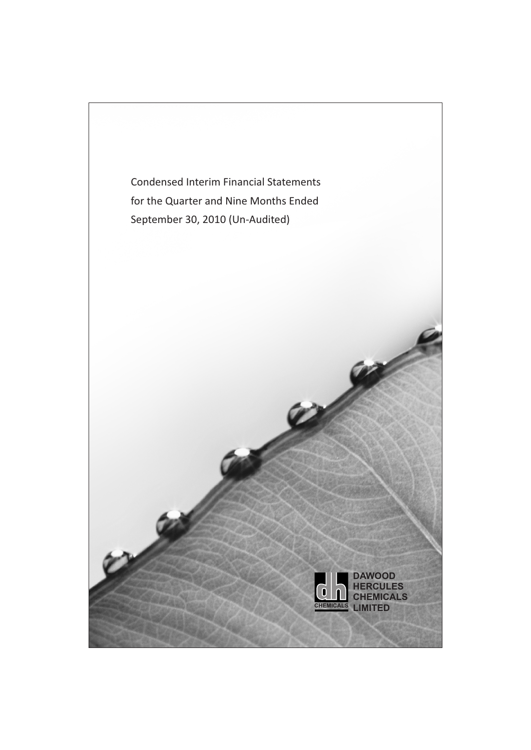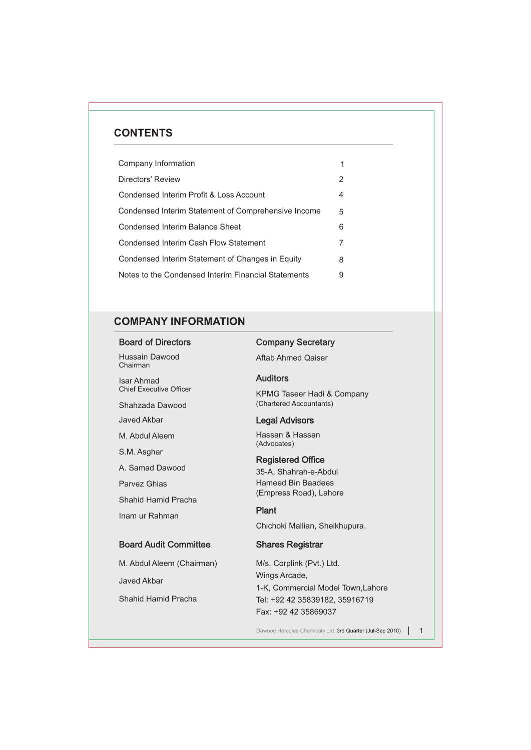# **CONTENTS**

| Company Information                                 |   |
|-----------------------------------------------------|---|
| Directors' Review                                   | 2 |
| Condensed Interim Profit & Loss Account             | 4 |
| Condensed Interim Statement of Comprehensive Income | 5 |
| Condensed Interim Balance Sheet                     | 6 |
| Condensed Interim Cash Flow Statement               | 7 |
| Condensed Interim Statement of Changes in Equity    | 8 |
| Notes to the Condensed Interim Financial Statements | 9 |

# **COMPANY INFORMATION**

Board of Directors

Hussain Dawood Chairman

Isar Ahmad Chief Executive Officer

Shahzada Dawood

Javed Akbar

M. Abdul Aleem

S.M. Asghar

A. Samad Dawood

Parvez Ghias

Shahid Hamid Pracha

Inam ur Rahman

## Board Audit Committee

M. Abdul Aleem (Chairman) Javed Akbar

Shahid Hamid Pracha

# Company Secretary

Aftab Ahmed Qaiser

### Auditors

KPMG Taseer Hadi & Company (Chartered Accountants)

### Legal Advisors

Hassan & Hassan (Advocates)

### Registered Office

35-A, Shahrah-e-Abdul Hameed Bin Baadees (Empress Road), Lahore

## Plant

Chichoki Mallian, Sheikhupura.

### Shares Registrar

M/s. Corplink (Pvt.) Ltd. Wings Arcade, 1-K, Commercial Model Town,Lahore Tel: +92 42 35839182, 35916719 Fax: +92 42 35869037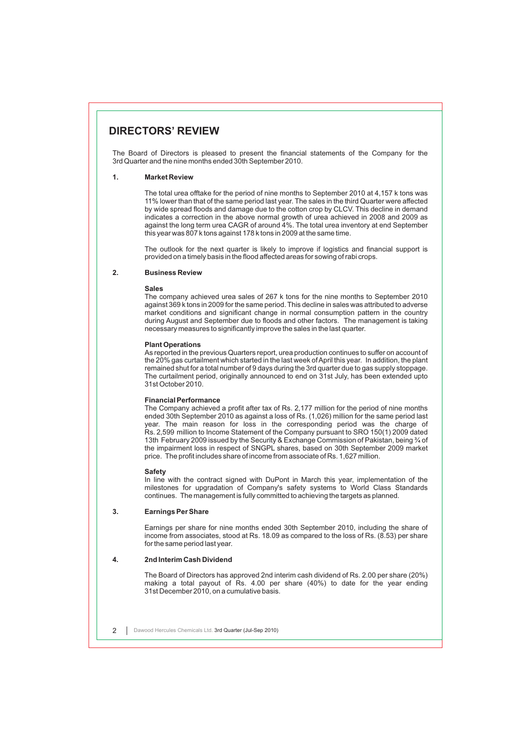# **DIRECTORS' REVIEW**

The Board of Directors is pleased to present the financial statements of the Company for the 3rd Quarter and the nine months ended 30th September 2010.

#### **1. Market Review**

The total urea offtake for the period of nine months to September 2010 at 4,157 k tons was 11% lower than that of the same period last year. The sales in the third Quarter were affected by wide spread floods and damage due to the cotton crop by CLCV. This decline in demand indicates a correction in the above normal growth of urea achieved in 2008 and 2009 as against the long term urea CAGR of around 4%. The total urea inventory at end September this year was 807 k tons against 178 k tons in 2009 at the same time.

The outlook for the next quarter is likely to improve if logistics and financial support is provided on a timely basis in the flood affected areas for sowing of rabi crops.

#### **2. Business Review**

#### **Sales**

The company achieved urea sales of 267 k tons for the nine months to September 2010 against 369 k tons in 2009 for the same period. This decline in sales was attributed to adverse market conditions and significant change in normal consumption pattern in the country during August and September due to floods and other factors. The management is taking necessary measures to significantly improve the sales in the last quarter.

#### **Plant Operations**

As reported in the previous Quarters report, urea production continues to suffer on account of the 20% gas curtailment which started in the last week of April this year. In addition, the plant remained shut for a total number of 9 days during the 3rd quarter due to gas supply stoppage. The curtailment period, originally announced to end on 31st July, has been extended upto 31st October 2010.

#### **Financial Performance**

The Company achieved a profit after tax of Rs. 2,177 million for the period of nine months ended 30th September 2010 as against a loss of Rs. (1,026) million for the same period last year. The main reason for loss in the corresponding period was the charge of Rs. 2,599 million to Income Statement of the Company pursuant to SRO 150(1) 2009 dated 13th February 2009 issued by the Security & Exchange Commission of Pakistan, being ¾ of the impairment loss in respect of SNGPL shares, based on 30th September 2009 market price. The profit includes share of income from associate of Rs. 1,627 million.

#### **Safety**

In line with the contract signed with DuPont in March this year, implementation of the milestones for upgradation of Company's safety systems to World Class Standards continues. The management is fully committed to achieving the targets as planned.

#### **3. Earnings Per Share**

Earnings per share for nine months ended 30th September 2010, including the share of income from associates, stood at Rs. 18.09 as compared to the loss of Rs. (8.53) per share for the same period last year.

### **4. 2nd Interim Cash Dividend**

The Board of Directors has approved 2nd interim cash dividend of Rs. 2.00 per share (20%) making a total payout of Rs. 4.00 per share (40%) to date for the year ending 31st December 2010, on a cumulative basis.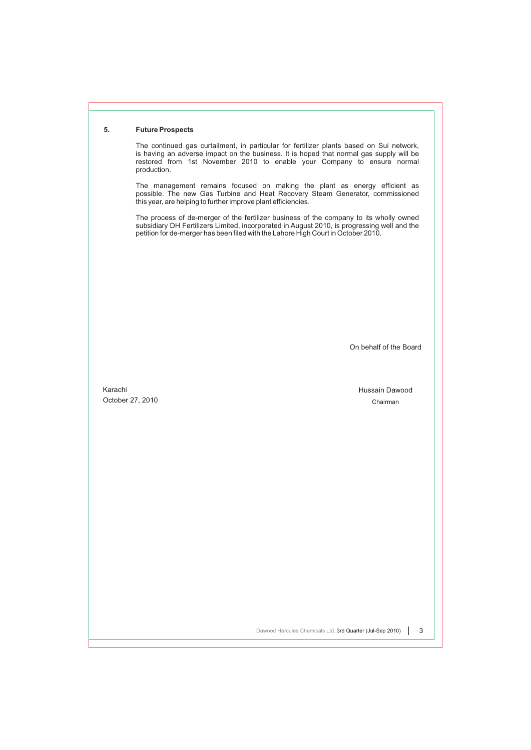#### **5. Future Prospects**

The continued gas curtailment, in particular for fertilizer plants based on Sui network, is having an adverse impact on the business. It is hoped that normal gas supply will be restored from 1st November 2010 to enable your Company to ensure normal production.

The management remains focused on making the plant as energy efficient as possible. The new Gas Turbine and Heat Recovery Steam Generator, commissioned this year, are helping to further improve plant efficiencies.

The process of de-merger of the fertilizer business of the company to its wholly owned subsidiary DH Fertilizers Limited, incorporated in August 2010, is progressing well and the petition for de-merger has been filed with the Lahore High Court in October 2010.

On behalf of the Board

Karachi October 27, 2010 Hussain Dawood Chairman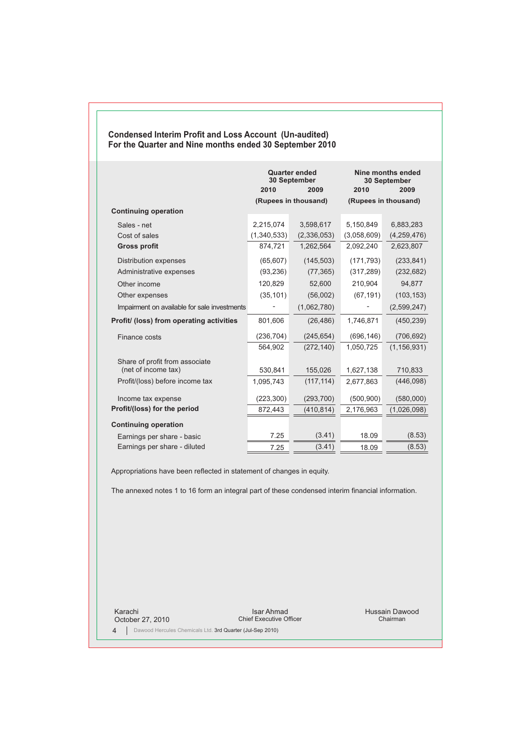## **Condensed Interim Profit and Loss Account (Un-audited) For the Quarter and Nine months ended 30 September 2010**

|                                              | <b>Quarter ended</b><br>30 September<br>2010<br>2009 |                      | 2010        | Nine months ended<br>30 September<br>2009 |  |
|----------------------------------------------|------------------------------------------------------|----------------------|-------------|-------------------------------------------|--|
|                                              |                                                      | (Rupees in thousand) |             | (Rupees in thousand)                      |  |
| <b>Continuing operation</b>                  |                                                      |                      |             |                                           |  |
| Sales - net                                  | 2,215,074                                            | 3,598,617            | 5,150,849   | 6,883,283                                 |  |
| Cost of sales                                | (1,340,533)                                          | (2,336,053)          | (3,058,609) | (4,259,476)                               |  |
| <b>Gross profit</b>                          | 874,721                                              | 1,262,564            | 2,092,240   | 2,623,807                                 |  |
| <b>Distribution expenses</b>                 | (65, 607)                                            | (145, 503)           | (171, 793)  | (233, 841)                                |  |
| Administrative expenses                      | (93, 236)                                            | (77, 365)            | (317, 289)  | (232, 682)                                |  |
| Other income                                 | 120,829                                              | 52,600               | 210,904     | 94,877                                    |  |
| Other expenses                               | (35, 101)                                            | (56,002)             | (67, 191)   | (103, 153)                                |  |
| Impairment on available for sale investments |                                                      | (1,062,780)          |             | (2,599,247)                               |  |
| Profit/ (loss) from operating activities     | 801,606                                              | (26, 486)            | 1,746,871   | (450, 239)                                |  |
| Finance costs                                | (236, 704)                                           | (245, 654)           | (696, 146)  | (706, 692)                                |  |
|                                              | 564,902                                              | (272, 140)           | 1.050.725   | (1, 156, 931)                             |  |
| Share of profit from associate               |                                                      |                      |             |                                           |  |
| (net of income tax)                          | 530,841                                              | 155,026              | 1,627,138   | 710,833                                   |  |
| Profit/(loss) before income tax              | 1,095,743                                            | (117, 114)           | 2,677,863   | (446,098)                                 |  |
| Income tax expense                           | (223, 300)                                           | (293, 700)           | (500, 900)  | (580,000)                                 |  |
| Profit/(loss) for the period                 | 872,443                                              | (410, 814)           | 2,176,963   | (1,026,098)                               |  |
| <b>Continuing operation</b>                  |                                                      |                      |             |                                           |  |
| Earnings per share - basic                   | 7.25                                                 | (3.41)               | 18.09       | (8.53)                                    |  |
| Earnings per share - diluted                 | 7.25                                                 | (3.41)               | 18.09       | (8.53)                                    |  |

Appropriations have been reflected in statement of changes in equity.

The annexed notes 1 to 16 form an integral part of these condensed interim financial information.

Karachi October 27, 2010

Isar Ahmad Chief Executive Officer

Hussain Dawood Chairman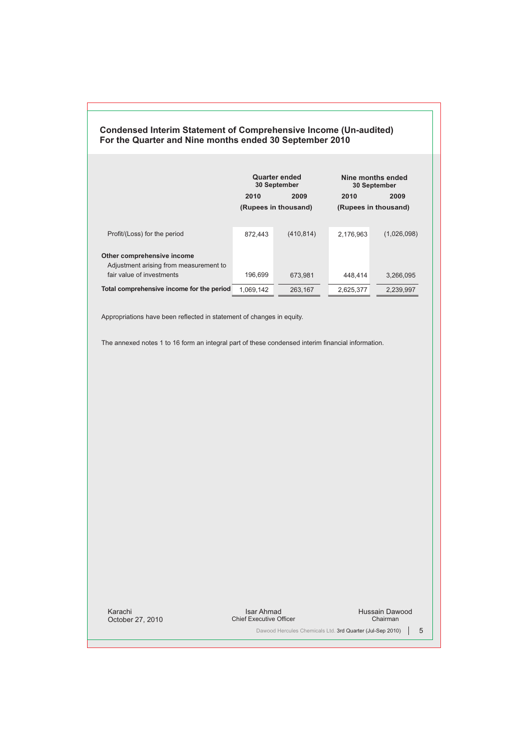|                                                                                                   | Quarter ended<br>30 September |                      |                      | Nine months ended<br>30 September |
|---------------------------------------------------------------------------------------------------|-------------------------------|----------------------|----------------------|-----------------------------------|
|                                                                                                   | 2010                          | 2009                 | 2010                 | 2009                              |
|                                                                                                   |                               | (Rupees in thousand) | (Rupees in thousand) |                                   |
| Profit/(Loss) for the period                                                                      | 872.443                       | (410, 814)           | 2.176.963            | (1,026,098)                       |
| Other comprehensive income<br>Adjustment arising from measurement to<br>fair value of investments | 196.699                       | 673.981              | 448.414              | 3,266,095                         |
| Total comprehensive income for the period                                                         | 1,069,142                     | 263,167              | 2,625,377            | 2,239,997                         |
|                                                                                                   |                               |                      |                      |                                   |

**Condensed Interim Statement of Comprehensive Income (Un-audited)**

**For the Quarter and Nine months ended 30 September 2010**

Appropriations have been reflected in statement of changes in equity.

The annexed notes 1 to 16 form an integral part of these condensed interim financial information.

Karachi October 27, 2010

Isar Ahmad Chief Executive Officer

Hussain Dawood Chairman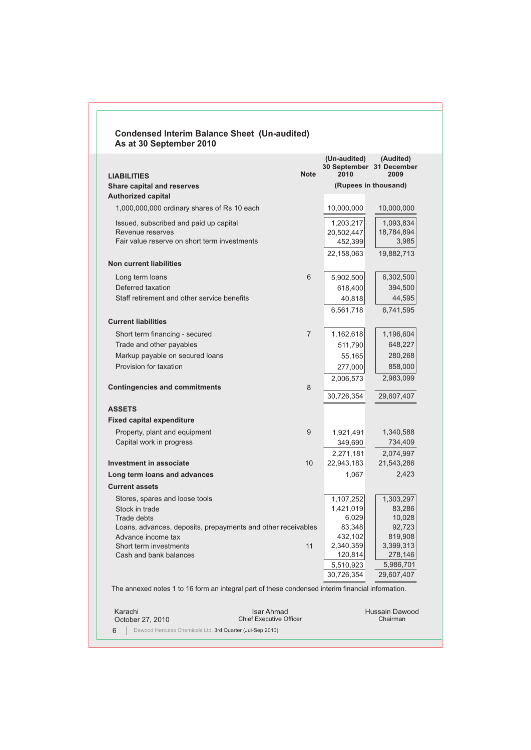| <b>LIABILITIES</b><br><b>Share capital and reserves</b><br>1,000,000,000 ordinary shares of Rs 10 each<br>Issued, subscribed and paid up capital<br>Revenue reserves<br>Fair value reserve on short term investments<br>Long term loans<br>Deferred taxation<br>Staff retirement and other service benefits<br>Short term financing - secured<br>Trade and other payables<br>Markup payable on secured loans<br>Provision for taxation<br>Property, plant and equipment<br>Capital work in progress<br>Stores, spares and loose tools<br>Stock in trade<br>Trade debts<br>Loans, advances, deposits, prepayments and other receivables<br>Advance income tax<br>Short term investments | <b>Note</b>     | 2010            | 30 September 31 December<br>2009 |
|----------------------------------------------------------------------------------------------------------------------------------------------------------------------------------------------------------------------------------------------------------------------------------------------------------------------------------------------------------------------------------------------------------------------------------------------------------------------------------------------------------------------------------------------------------------------------------------------------------------------------------------------------------------------------------------|-----------------|-----------------|----------------------------------|
| <b>Authorized capital</b><br><b>Non current liabilities</b><br><b>Current liabilities</b><br><b>Contingencies and commitments</b><br><b>ASSETS</b><br><b>Fixed capital expenditure</b><br>Investment in associate<br>Long term loans and advances<br><b>Current assets</b>                                                                                                                                                                                                                                                                                                                                                                                                             |                 |                 | (Rupees in thousand)             |
|                                                                                                                                                                                                                                                                                                                                                                                                                                                                                                                                                                                                                                                                                        |                 |                 |                                  |
|                                                                                                                                                                                                                                                                                                                                                                                                                                                                                                                                                                                                                                                                                        |                 | 10,000,000      | 10,000,000                       |
|                                                                                                                                                                                                                                                                                                                                                                                                                                                                                                                                                                                                                                                                                        |                 | 1,203,217       | 1,093,834                        |
|                                                                                                                                                                                                                                                                                                                                                                                                                                                                                                                                                                                                                                                                                        |                 | 20,502,447      | 18,784,894                       |
|                                                                                                                                                                                                                                                                                                                                                                                                                                                                                                                                                                                                                                                                                        |                 | 452,399         | 3,985                            |
|                                                                                                                                                                                                                                                                                                                                                                                                                                                                                                                                                                                                                                                                                        |                 | 22,158,063      | 19,882,713                       |
|                                                                                                                                                                                                                                                                                                                                                                                                                                                                                                                                                                                                                                                                                        | 6               | 5,902,500       | 6,302,500                        |
|                                                                                                                                                                                                                                                                                                                                                                                                                                                                                                                                                                                                                                                                                        |                 | 618,400         | 394,500                          |
|                                                                                                                                                                                                                                                                                                                                                                                                                                                                                                                                                                                                                                                                                        |                 | 40,818          | 44,595                           |
|                                                                                                                                                                                                                                                                                                                                                                                                                                                                                                                                                                                                                                                                                        |                 | 6,561,718       | 6,741,595                        |
|                                                                                                                                                                                                                                                                                                                                                                                                                                                                                                                                                                                                                                                                                        |                 |                 |                                  |
|                                                                                                                                                                                                                                                                                                                                                                                                                                                                                                                                                                                                                                                                                        | $\overline{7}$  | 1,162,618       | 1,196,604                        |
|                                                                                                                                                                                                                                                                                                                                                                                                                                                                                                                                                                                                                                                                                        |                 | 511,790         | 648,227                          |
|                                                                                                                                                                                                                                                                                                                                                                                                                                                                                                                                                                                                                                                                                        |                 | 55,165          | 280,268                          |
|                                                                                                                                                                                                                                                                                                                                                                                                                                                                                                                                                                                                                                                                                        |                 | 277,000         | 858,000                          |
|                                                                                                                                                                                                                                                                                                                                                                                                                                                                                                                                                                                                                                                                                        | 8               | 2,006,573       | 2,983,099                        |
|                                                                                                                                                                                                                                                                                                                                                                                                                                                                                                                                                                                                                                                                                        |                 | 30,726,354      | 29,607,407                       |
|                                                                                                                                                                                                                                                                                                                                                                                                                                                                                                                                                                                                                                                                                        |                 |                 |                                  |
|                                                                                                                                                                                                                                                                                                                                                                                                                                                                                                                                                                                                                                                                                        |                 |                 |                                  |
|                                                                                                                                                                                                                                                                                                                                                                                                                                                                                                                                                                                                                                                                                        | 9               | 1,921,491       | 1,340,588                        |
|                                                                                                                                                                                                                                                                                                                                                                                                                                                                                                                                                                                                                                                                                        |                 | 349,690         | 734,409                          |
|                                                                                                                                                                                                                                                                                                                                                                                                                                                                                                                                                                                                                                                                                        |                 | 2,271,181       | 2,074,997                        |
|                                                                                                                                                                                                                                                                                                                                                                                                                                                                                                                                                                                                                                                                                        | 10 <sup>1</sup> | 22,943,183      | 21,543,286                       |
|                                                                                                                                                                                                                                                                                                                                                                                                                                                                                                                                                                                                                                                                                        |                 | 1,067           | 2,423                            |
|                                                                                                                                                                                                                                                                                                                                                                                                                                                                                                                                                                                                                                                                                        |                 |                 |                                  |
|                                                                                                                                                                                                                                                                                                                                                                                                                                                                                                                                                                                                                                                                                        |                 | 1,107,252       | 1,303,297                        |
|                                                                                                                                                                                                                                                                                                                                                                                                                                                                                                                                                                                                                                                                                        |                 | 1,421,019       | 83,286                           |
|                                                                                                                                                                                                                                                                                                                                                                                                                                                                                                                                                                                                                                                                                        |                 | 6,029<br>83,348 | 10,028<br>92,723                 |
|                                                                                                                                                                                                                                                                                                                                                                                                                                                                                                                                                                                                                                                                                        |                 | 432,102         | 819,908                          |
|                                                                                                                                                                                                                                                                                                                                                                                                                                                                                                                                                                                                                                                                                        | 11              | 2,340,359       | 3,399,313                        |
| Cash and bank balances                                                                                                                                                                                                                                                                                                                                                                                                                                                                                                                                                                                                                                                                 |                 | 120,814         | 278,146                          |
|                                                                                                                                                                                                                                                                                                                                                                                                                                                                                                                                                                                                                                                                                        |                 | 5,510,923       | 5,986,701                        |
|                                                                                                                                                                                                                                                                                                                                                                                                                                                                                                                                                                                                                                                                                        |                 | 30,726,354      | 29,607,407                       |
| The annexed notes 1 to 16 form an integral part of these condensed interim financial information.                                                                                                                                                                                                                                                                                                                                                                                                                                                                                                                                                                                      |                 |                 |                                  |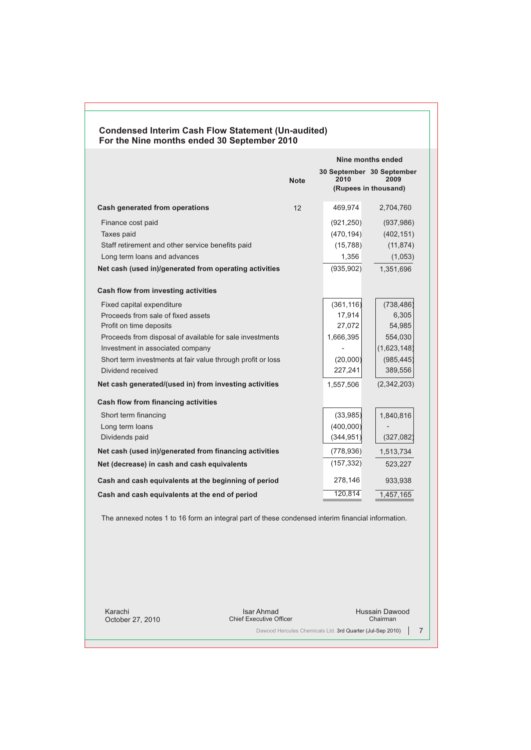| <b>Condensed Interim Cash Flow Statement (Un-audited)</b><br>For the Nine months ended 30 September 2010<br>Nine months ended<br>30 September 30 September<br>2010<br>2009<br><b>Note</b><br>(Rupees in thousand)<br>Cash generated from operations<br>12<br>469,974<br>2,704,760<br>Finance cost paid<br>(921, 250)<br>(937, 986)<br>Taxes paid<br>(470, 194)<br>(402, 151)<br>Staff retirement and other service benefits paid<br>(15, 788)<br>(11, 874)<br>Long term loans and advances<br>(1,053)<br>1,356<br>1,351,696<br>Net cash (used in)/generated from operating activities<br>(935, 902)<br><b>Cash flow from investing activities</b><br>(361, 116)<br>(738, 486)<br>Fixed capital expenditure<br>Proceeds from sale of fixed assets<br>17,914<br>6,305<br>Profit on time deposits<br>27,072<br>54,985<br>1,666,395<br>554,030<br>Proceeds from disposal of available for sale investments<br>Investment in associated company<br>(1,623,148)<br>(985, 445)<br>Short term investments at fair value through profit or loss<br>(20,000)<br>389,556<br>227,241<br>Dividend received<br>Net cash generated/(used in) from investing activities<br>(2,342,203)<br>1,557,506<br><b>Cash flow from financing activities</b><br>(33, 985)<br>1,840,816<br>Short term financing<br>(400,000)<br>Long term loans<br>Dividends paid<br>(344, 951)<br>(327, 082)<br>Net cash (used in)/generated from financing activities<br>(778, 936)<br>1,513,734<br>(157, 332)<br>Net (decrease) in cash and cash equivalents<br>523,227<br>278,146<br>Cash and cash equivalents at the beginning of period<br>933,938<br>120,814<br>Cash and cash equivalents at the end of period<br>1,457,165 |  |  |  |  |  |
|----------------------------------------------------------------------------------------------------------------------------------------------------------------------------------------------------------------------------------------------------------------------------------------------------------------------------------------------------------------------------------------------------------------------------------------------------------------------------------------------------------------------------------------------------------------------------------------------------------------------------------------------------------------------------------------------------------------------------------------------------------------------------------------------------------------------------------------------------------------------------------------------------------------------------------------------------------------------------------------------------------------------------------------------------------------------------------------------------------------------------------------------------------------------------------------------------------------------------------------------------------------------------------------------------------------------------------------------------------------------------------------------------------------------------------------------------------------------------------------------------------------------------------------------------------------------------------------------------------------------------------------------------------------------------------------|--|--|--|--|--|
|                                                                                                                                                                                                                                                                                                                                                                                                                                                                                                                                                                                                                                                                                                                                                                                                                                                                                                                                                                                                                                                                                                                                                                                                                                                                                                                                                                                                                                                                                                                                                                                                                                                                                        |  |  |  |  |  |
|                                                                                                                                                                                                                                                                                                                                                                                                                                                                                                                                                                                                                                                                                                                                                                                                                                                                                                                                                                                                                                                                                                                                                                                                                                                                                                                                                                                                                                                                                                                                                                                                                                                                                        |  |  |  |  |  |
|                                                                                                                                                                                                                                                                                                                                                                                                                                                                                                                                                                                                                                                                                                                                                                                                                                                                                                                                                                                                                                                                                                                                                                                                                                                                                                                                                                                                                                                                                                                                                                                                                                                                                        |  |  |  |  |  |
|                                                                                                                                                                                                                                                                                                                                                                                                                                                                                                                                                                                                                                                                                                                                                                                                                                                                                                                                                                                                                                                                                                                                                                                                                                                                                                                                                                                                                                                                                                                                                                                                                                                                                        |  |  |  |  |  |
|                                                                                                                                                                                                                                                                                                                                                                                                                                                                                                                                                                                                                                                                                                                                                                                                                                                                                                                                                                                                                                                                                                                                                                                                                                                                                                                                                                                                                                                                                                                                                                                                                                                                                        |  |  |  |  |  |
|                                                                                                                                                                                                                                                                                                                                                                                                                                                                                                                                                                                                                                                                                                                                                                                                                                                                                                                                                                                                                                                                                                                                                                                                                                                                                                                                                                                                                                                                                                                                                                                                                                                                                        |  |  |  |  |  |
|                                                                                                                                                                                                                                                                                                                                                                                                                                                                                                                                                                                                                                                                                                                                                                                                                                                                                                                                                                                                                                                                                                                                                                                                                                                                                                                                                                                                                                                                                                                                                                                                                                                                                        |  |  |  |  |  |
|                                                                                                                                                                                                                                                                                                                                                                                                                                                                                                                                                                                                                                                                                                                                                                                                                                                                                                                                                                                                                                                                                                                                                                                                                                                                                                                                                                                                                                                                                                                                                                                                                                                                                        |  |  |  |  |  |
|                                                                                                                                                                                                                                                                                                                                                                                                                                                                                                                                                                                                                                                                                                                                                                                                                                                                                                                                                                                                                                                                                                                                                                                                                                                                                                                                                                                                                                                                                                                                                                                                                                                                                        |  |  |  |  |  |
|                                                                                                                                                                                                                                                                                                                                                                                                                                                                                                                                                                                                                                                                                                                                                                                                                                                                                                                                                                                                                                                                                                                                                                                                                                                                                                                                                                                                                                                                                                                                                                                                                                                                                        |  |  |  |  |  |
|                                                                                                                                                                                                                                                                                                                                                                                                                                                                                                                                                                                                                                                                                                                                                                                                                                                                                                                                                                                                                                                                                                                                                                                                                                                                                                                                                                                                                                                                                                                                                                                                                                                                                        |  |  |  |  |  |
|                                                                                                                                                                                                                                                                                                                                                                                                                                                                                                                                                                                                                                                                                                                                                                                                                                                                                                                                                                                                                                                                                                                                                                                                                                                                                                                                                                                                                                                                                                                                                                                                                                                                                        |  |  |  |  |  |
|                                                                                                                                                                                                                                                                                                                                                                                                                                                                                                                                                                                                                                                                                                                                                                                                                                                                                                                                                                                                                                                                                                                                                                                                                                                                                                                                                                                                                                                                                                                                                                                                                                                                                        |  |  |  |  |  |
|                                                                                                                                                                                                                                                                                                                                                                                                                                                                                                                                                                                                                                                                                                                                                                                                                                                                                                                                                                                                                                                                                                                                                                                                                                                                                                                                                                                                                                                                                                                                                                                                                                                                                        |  |  |  |  |  |
|                                                                                                                                                                                                                                                                                                                                                                                                                                                                                                                                                                                                                                                                                                                                                                                                                                                                                                                                                                                                                                                                                                                                                                                                                                                                                                                                                                                                                                                                                                                                                                                                                                                                                        |  |  |  |  |  |
|                                                                                                                                                                                                                                                                                                                                                                                                                                                                                                                                                                                                                                                                                                                                                                                                                                                                                                                                                                                                                                                                                                                                                                                                                                                                                                                                                                                                                                                                                                                                                                                                                                                                                        |  |  |  |  |  |
|                                                                                                                                                                                                                                                                                                                                                                                                                                                                                                                                                                                                                                                                                                                                                                                                                                                                                                                                                                                                                                                                                                                                                                                                                                                                                                                                                                                                                                                                                                                                                                                                                                                                                        |  |  |  |  |  |
|                                                                                                                                                                                                                                                                                                                                                                                                                                                                                                                                                                                                                                                                                                                                                                                                                                                                                                                                                                                                                                                                                                                                                                                                                                                                                                                                                                                                                                                                                                                                                                                                                                                                                        |  |  |  |  |  |
|                                                                                                                                                                                                                                                                                                                                                                                                                                                                                                                                                                                                                                                                                                                                                                                                                                                                                                                                                                                                                                                                                                                                                                                                                                                                                                                                                                                                                                                                                                                                                                                                                                                                                        |  |  |  |  |  |
|                                                                                                                                                                                                                                                                                                                                                                                                                                                                                                                                                                                                                                                                                                                                                                                                                                                                                                                                                                                                                                                                                                                                                                                                                                                                                                                                                                                                                                                                                                                                                                                                                                                                                        |  |  |  |  |  |
|                                                                                                                                                                                                                                                                                                                                                                                                                                                                                                                                                                                                                                                                                                                                                                                                                                                                                                                                                                                                                                                                                                                                                                                                                                                                                                                                                                                                                                                                                                                                                                                                                                                                                        |  |  |  |  |  |
|                                                                                                                                                                                                                                                                                                                                                                                                                                                                                                                                                                                                                                                                                                                                                                                                                                                                                                                                                                                                                                                                                                                                                                                                                                                                                                                                                                                                                                                                                                                                                                                                                                                                                        |  |  |  |  |  |
|                                                                                                                                                                                                                                                                                                                                                                                                                                                                                                                                                                                                                                                                                                                                                                                                                                                                                                                                                                                                                                                                                                                                                                                                                                                                                                                                                                                                                                                                                                                                                                                                                                                                                        |  |  |  |  |  |
|                                                                                                                                                                                                                                                                                                                                                                                                                                                                                                                                                                                                                                                                                                                                                                                                                                                                                                                                                                                                                                                                                                                                                                                                                                                                                                                                                                                                                                                                                                                                                                                                                                                                                        |  |  |  |  |  |
|                                                                                                                                                                                                                                                                                                                                                                                                                                                                                                                                                                                                                                                                                                                                                                                                                                                                                                                                                                                                                                                                                                                                                                                                                                                                                                                                                                                                                                                                                                                                                                                                                                                                                        |  |  |  |  |  |
|                                                                                                                                                                                                                                                                                                                                                                                                                                                                                                                                                                                                                                                                                                                                                                                                                                                                                                                                                                                                                                                                                                                                                                                                                                                                                                                                                                                                                                                                                                                                                                                                                                                                                        |  |  |  |  |  |
|                                                                                                                                                                                                                                                                                                                                                                                                                                                                                                                                                                                                                                                                                                                                                                                                                                                                                                                                                                                                                                                                                                                                                                                                                                                                                                                                                                                                                                                                                                                                                                                                                                                                                        |  |  |  |  |  |
|                                                                                                                                                                                                                                                                                                                                                                                                                                                                                                                                                                                                                                                                                                                                                                                                                                                                                                                                                                                                                                                                                                                                                                                                                                                                                                                                                                                                                                                                                                                                                                                                                                                                                        |  |  |  |  |  |
|                                                                                                                                                                                                                                                                                                                                                                                                                                                                                                                                                                                                                                                                                                                                                                                                                                                                                                                                                                                                                                                                                                                                                                                                                                                                                                                                                                                                                                                                                                                                                                                                                                                                                        |  |  |  |  |  |

 $\epsilon$ The annexed notes 1 to 16 form an integral part of these condensed interim financial information.

Karachi October 27, 2010

Isar Ahmad Chief Executive Officer

Hussain Dawood Chairman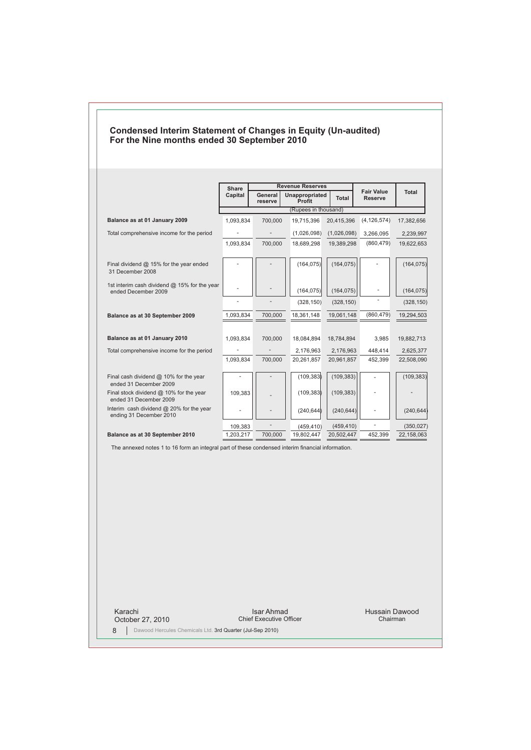|                                                                                                   | <b>Share</b><br>Capital    | General                  | <b>Revenue Reserves</b><br><b>Unappropriated</b> |                | <b>Fair Value</b>        | Total      |
|---------------------------------------------------------------------------------------------------|----------------------------|--------------------------|--------------------------------------------------|----------------|--------------------------|------------|
|                                                                                                   | Total<br>Profit<br>reserve |                          |                                                  | <b>Reserve</b> |                          |            |
|                                                                                                   |                            |                          | (Rupees in thousand)                             |                |                          |            |
| Balance as at 01 January 2009                                                                     | 1.093.834                  | 700.000                  | 19.715.396                                       | 20.415.396     | (4, 126, 574)            | 17,382,656 |
| Total comprehensive income for the period                                                         | $\overline{\phantom{a}}$   | $\overline{\phantom{a}}$ | (1,026,098)                                      | (1,026,098)    | 3,266,095                | 2,239,997  |
|                                                                                                   | 1,093,834                  | 700,000                  | 18,689,298                                       | 19,389,298     | (860, 479)               | 19,622,653 |
| Final dividend $@$ 15% for the year ended<br>31 December 2008                                     |                            |                          | (164, 075)                                       | (164, 075)     |                          | (164, 075) |
| 1st interim cash dividend @ 15% for the year<br>ended December 2009                               |                            |                          | (164, 075)                                       | (164, 075)     | $\overline{a}$           | (164, 075) |
|                                                                                                   | l,                         |                          | (328, 150)                                       | (328, 150)     |                          | (328, 150) |
| Balance as at 30 September 2009                                                                   | 1,093,834                  | 700,000                  | 18,361,148                                       | 19,061,148     | (860, 479)               | 19,294,503 |
| Balance as at 01 January 2010                                                                     | 1,093,834                  | 700,000                  | 18,084,894                                       | 18,784,894     | 3,985                    | 19,882,713 |
| Total comprehensive income for the period                                                         |                            |                          | 2,176,963                                        | 2,176,963      | 448,414                  | 2,625,377  |
|                                                                                                   | 1.093.834                  | 700,000                  | 20,261,857                                       | 20,961,857     | 452,399                  | 22,508,090 |
| Final cash dividend $@$ 10% for the year<br>ended 31 December 2009                                | $\overline{\phantom{a}}$   |                          | (109, 383)                                       | (109, 383)     | $\overline{\phantom{a}}$ | (109, 383) |
| Final stock dividend $@$ 10% for the year<br>ended 31 December 2009                               | 109.383                    |                          | (109, 383)                                       | (109, 383)     |                          |            |
| Interim cash dividend @ 20% for the year<br>ending 31 December 2010                               |                            |                          | (240, 644)                                       | (240, 644)     |                          | (240, 644) |
|                                                                                                   | 109,383                    |                          | (459, 410)                                       | (459, 410)     |                          | (350, 027) |
| Balance as at 30 September 2010                                                                   | 1.203.217                  | 700.000                  | 19.802.447                                       | 20.502.447     | 452.399                  | 22,158,063 |
| The annexed notes 1 to 16 form an integral part of these condensed interim financial information. |                            |                          |                                                  |                |                          |            |

## **Condensed Interim Statement of Changes in Equity (Un-audited) For the Nine months ended 30 September 2010**

Karachi October 27, 2010

Isar Ahmad Chief Executive Officer

Hussain Dawood Chairman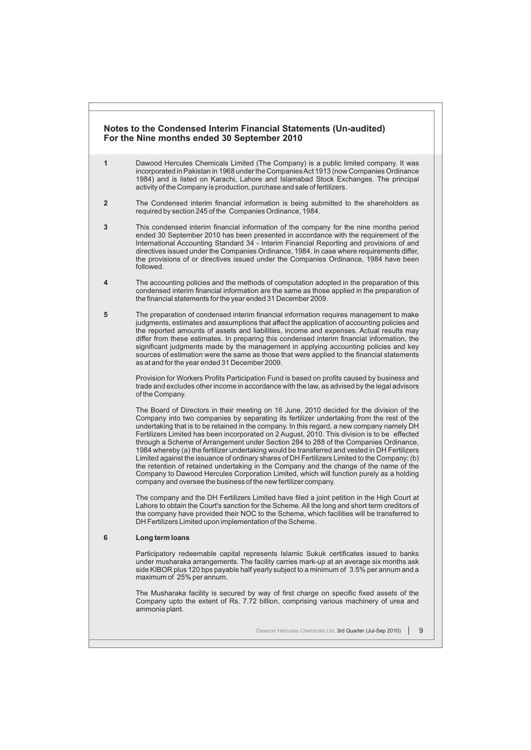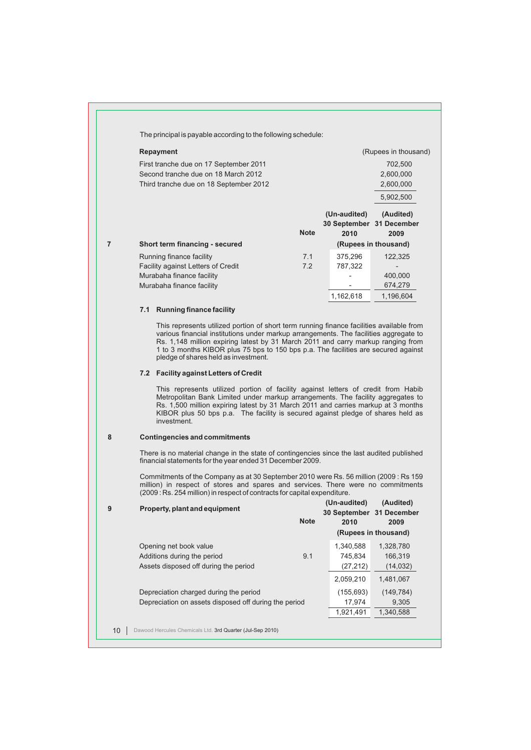|                 | The principal is payable according to the following schedule:                                                                                                                                                                                                                                                                                                                                       |             |               |                                  |
|-----------------|-----------------------------------------------------------------------------------------------------------------------------------------------------------------------------------------------------------------------------------------------------------------------------------------------------------------------------------------------------------------------------------------------------|-------------|---------------|----------------------------------|
|                 | <b>Repayment</b>                                                                                                                                                                                                                                                                                                                                                                                    |             |               | (Rupees in thousand)             |
|                 | First tranche due on 17 September 2011                                                                                                                                                                                                                                                                                                                                                              |             |               | 702,500                          |
|                 | Second tranche due on 18 March 2012                                                                                                                                                                                                                                                                                                                                                                 |             |               | 2,600,000                        |
|                 | Third tranche due on 18 September 2012                                                                                                                                                                                                                                                                                                                                                              |             |               | 2,600,000                        |
|                 |                                                                                                                                                                                                                                                                                                                                                                                                     |             |               | 5,902,500                        |
|                 |                                                                                                                                                                                                                                                                                                                                                                                                     |             | (Un-audited)  | (Audited)                        |
|                 |                                                                                                                                                                                                                                                                                                                                                                                                     |             |               | 30 September 31 December         |
|                 |                                                                                                                                                                                                                                                                                                                                                                                                     | <b>Note</b> | 2010          | 2009                             |
| $\overline{7}$  | Short term financing - secured                                                                                                                                                                                                                                                                                                                                                                      |             |               | (Rupees in thousand)             |
|                 | Running finance facility                                                                                                                                                                                                                                                                                                                                                                            | 7.1         | 375,296       | 122,325                          |
|                 | Facility against Letters of Credit                                                                                                                                                                                                                                                                                                                                                                  | 7.2         | 787,322<br>÷. | $\overline{\phantom{a}}$         |
|                 | Murabaha finance facility<br>Murabaha finance facility                                                                                                                                                                                                                                                                                                                                              |             |               | 400,000<br>674,279               |
|                 |                                                                                                                                                                                                                                                                                                                                                                                                     |             | 1,162,618     | 1,196,604                        |
|                 | 7.1 Running finance facility                                                                                                                                                                                                                                                                                                                                                                        |             |               |                                  |
|                 |                                                                                                                                                                                                                                                                                                                                                                                                     |             |               |                                  |
|                 | This represents utilized portion of short term running finance facilities available from<br>various financial institutions under markup arrangements. The facilities aggregate to<br>Rs. 1,148 million expiring latest by 31 March 2011 and carry markup ranging from<br>1 to 3 months KIBOR plus 75 bps to 150 bps p.a. The facilities are secured against<br>pledge of shares held as investment. |             |               |                                  |
|                 | 7.2 Facility against Letters of Credit                                                                                                                                                                                                                                                                                                                                                              |             |               |                                  |
|                 | This represents utilized portion of facility against letters of credit from Habib<br>Metropolitan Bank Limited under markup arrangements. The facility aggregates to<br>Rs. 1,500 million expiring latest by 31 March 2011 and carries markup at 3 months<br>KIBOR plus 50 bps p.a. The facility is secured against pledge of shares held as<br>investment.                                         |             |               |                                  |
| 8               | <b>Contingencies and commitments</b>                                                                                                                                                                                                                                                                                                                                                                |             |               |                                  |
|                 | There is no material change in the state of contingencies since the last audited published<br>financial statements for the year ended 31 December 2009.                                                                                                                                                                                                                                             |             |               |                                  |
|                 | Commitments of the Company as at 30 September 2010 were Rs. 56 million (2009: Rs 159)<br>million) in respect of stores and spares and services. There were no commitments<br>(2009: Rs. 254 million) in respect of contracts for capital expenditure.                                                                                                                                               |             |               |                                  |
| 9               | Property, plant and equipment                                                                                                                                                                                                                                                                                                                                                                       |             | (Un-audited)  | (Audited)                        |
|                 |                                                                                                                                                                                                                                                                                                                                                                                                     | <b>Note</b> | 2010          | 30 September 31 December<br>2009 |
|                 |                                                                                                                                                                                                                                                                                                                                                                                                     |             |               | (Rupees in thousand)             |
|                 | Opening net book value                                                                                                                                                                                                                                                                                                                                                                              |             | 1,340,588     | 1,328,780                        |
|                 | Additions during the period                                                                                                                                                                                                                                                                                                                                                                         | 9.1         | 745,834       | 166,319                          |
|                 | Assets disposed off during the period                                                                                                                                                                                                                                                                                                                                                               |             | (27, 212)     | (14, 032)                        |
|                 |                                                                                                                                                                                                                                                                                                                                                                                                     |             | 2,059,210     | 1,481,067                        |
|                 | Depreciation charged during the period                                                                                                                                                                                                                                                                                                                                                              |             | (155, 693)    | (149, 784)                       |
|                 | Depreciation on assets disposed off during the period                                                                                                                                                                                                                                                                                                                                               |             | 17,974        | 9,305                            |
|                 |                                                                                                                                                                                                                                                                                                                                                                                                     |             | 1,921,491     | 1,340,588                        |
|                 | Dawood Hercules Chemicals Ltd. 3rd Quarter (Jul-Sep 2010)                                                                                                                                                                                                                                                                                                                                           |             |               |                                  |
| 10 <sup>°</sup> |                                                                                                                                                                                                                                                                                                                                                                                                     |             |               |                                  |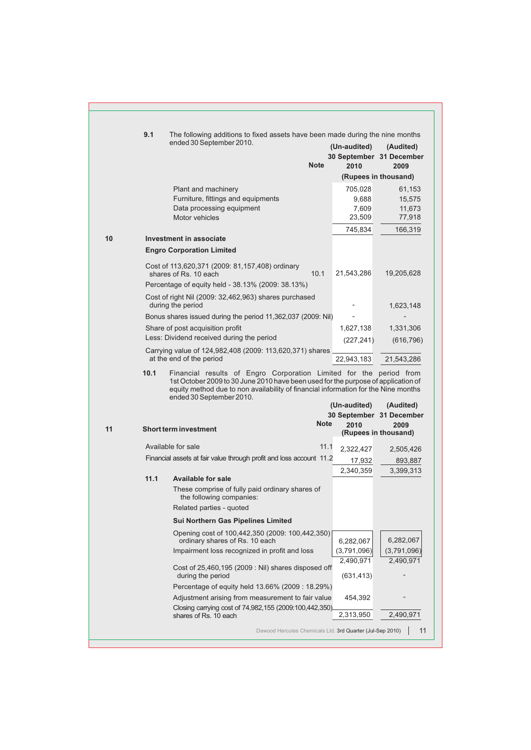|    | 9.1  | The following additions to fixed assets have been made during the nine months<br>ended 30 September 2010.<br><b>Note</b>                                                                            | (Un-audited)             | (Audited)<br>30 September 31 December |
|----|------|-----------------------------------------------------------------------------------------------------------------------------------------------------------------------------------------------------|--------------------------|---------------------------------------|
|    |      |                                                                                                                                                                                                     | 2010                     | 2009<br>(Rupees in thousand)          |
|    |      | Plant and machinery                                                                                                                                                                                 | 705,028                  | 61,153                                |
|    |      | Furniture, fittings and equipments                                                                                                                                                                  | 9,688                    | 15,575                                |
|    |      | Data processing equipment                                                                                                                                                                           | 7,609                    | 11,673                                |
|    |      | Motor vehicles                                                                                                                                                                                      | 23,509                   | 77,918                                |
|    |      |                                                                                                                                                                                                     | 745,834                  | 166,319                               |
| 10 |      | <b>Investment in associate</b>                                                                                                                                                                      |                          |                                       |
|    |      | <b>Engro Corporation Limited</b>                                                                                                                                                                    |                          |                                       |
|    |      | Cost of 113,620,371 (2009: 81,157,408) ordinary<br>10.1<br>shares of Rs. 10 each                                                                                                                    | 21,543,286               | 19,205,628                            |
|    |      | Percentage of equity held - 38.13% (2009: 38.13%)                                                                                                                                                   |                          |                                       |
|    |      | Cost of right Nil (2009: 32,462,963) shares purchased<br>during the period                                                                                                                          |                          | 1,623,148                             |
|    |      | Bonus shares issued during the period 11,362,037 (2009: Nil)                                                                                                                                        |                          |                                       |
|    |      | Share of post acquisition profit                                                                                                                                                                    | 1,627,138                | 1,331,306                             |
|    |      | Less: Dividend received during the period                                                                                                                                                           | (227, 241)               | (616, 796)                            |
|    |      | Carrying value of 124,982,408 (2009: 113,620,371) shares<br>at the end of the period                                                                                                                | 22.943.183               | 21,543,286                            |
|    |      | 1st October 2009 to 30 June 2010 have been used for the purpose of application of<br>equity method due to non availability of financial information for the Nine months<br>ended 30 September 2010. | (Un-audited)             | (Audited)                             |
|    |      |                                                                                                                                                                                                     |                          | 30 September 31 December              |
| 11 |      | <b>Note</b><br><b>Short term investment</b>                                                                                                                                                         | 2010                     | 2009<br>(Rupees in thousand)          |
|    |      | Available for sale<br>11.1                                                                                                                                                                          | 2,322,427                | 2,505,426                             |
|    |      | Financial assets at fair value through profit and loss account 11.2                                                                                                                                 | 17,932                   | 893,887                               |
|    | 11.1 | <b>Available for sale</b>                                                                                                                                                                           | 2,340,359                | 3,399,313                             |
|    |      |                                                                                                                                                                                                     |                          |                                       |
|    |      | These comprise of fully paid ordinary shares of<br>the following companies:                                                                                                                         |                          |                                       |
|    |      | Related parties - quoted                                                                                                                                                                            |                          |                                       |
|    |      | <b>Sui Northern Gas Pipelines Limited</b>                                                                                                                                                           |                          |                                       |
|    |      | Opening cost of 100,442,350 (2009: 100,442,350)<br>ordinary shares of Rs. 10 each                                                                                                                   |                          | 6,282,067                             |
|    |      | Impairment loss recognized in profit and loss                                                                                                                                                       | 6,282,067<br>(3,791,096) | (3,791,096)                           |
|    |      | Cost of $25,460,195$ (2009 : Nil) shares disposed off<br>during the period                                                                                                                          | 2,490,971<br>(631, 413)  | 2,490,971                             |
|    |      | Percentage of equity held 13.66% (2009 : 18.29%)                                                                                                                                                    |                          |                                       |
|    |      | Adjustment arising from measurement to fair value                                                                                                                                                   | 454,392                  |                                       |
|    |      | Closing carrying cost of 74,982,155 (2009:100,442,350)<br>shares of Rs. 10 each                                                                                                                     | 2,313,950                | 2,490,971                             |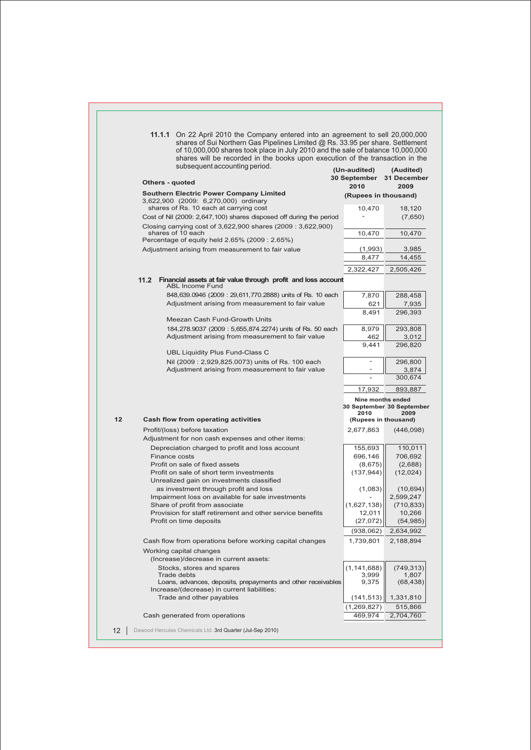|                 | 11.1.1 On 22 April 2010 the Company entered into an agreement to sell 20,000,000<br>shares of Sui Northern Gas Pipelines Limited @ Rs. 33.95 per share. Settlement<br>of 10,000,000 shares took place in July 2010 and the sale of balance 10,000,000<br>shares will be recorded in the books upon execution of the transaction in the |                              |                           |
|-----------------|----------------------------------------------------------------------------------------------------------------------------------------------------------------------------------------------------------------------------------------------------------------------------------------------------------------------------------------|------------------------------|---------------------------|
|                 | subsequent accounting period.                                                                                                                                                                                                                                                                                                          | (Un-audited)                 | (Audited)                 |
|                 | Others - quoted                                                                                                                                                                                                                                                                                                                        | 30 September<br>2010         | 31 December<br>2009       |
|                 | <b>Southern Electric Power Company Limited</b>                                                                                                                                                                                                                                                                                         | (Rupees in thousand)         |                           |
|                 | 3,622,900 (2009: 6,270,000) ordinary                                                                                                                                                                                                                                                                                                   |                              |                           |
|                 | shares of Rs. 10 each at carrying cost<br>Cost of Nil (2009: 2,647,100) shares disposed off during the period                                                                                                                                                                                                                          | 10,470                       | 18,120<br>(7,650)         |
|                 | Closing carrying cost of 3,622,900 shares (2009: 3,622,900)                                                                                                                                                                                                                                                                            |                              |                           |
|                 | shares of 10 each<br>Percentage of equity held 2.65% (2009 : 2.65%)                                                                                                                                                                                                                                                                    | 10,470                       | 10,470                    |
|                 | Adjustment arising from measurement to fair value                                                                                                                                                                                                                                                                                      | (1,993)                      | 3,985                     |
|                 |                                                                                                                                                                                                                                                                                                                                        | 8,477                        | 14,455                    |
|                 |                                                                                                                                                                                                                                                                                                                                        | 2,322,427                    | 2,505,426                 |
|                 | 11.2<br>Financial assets at fair value through profit and loss account                                                                                                                                                                                                                                                                 |                              |                           |
|                 | <b>ABL Income Fund</b>                                                                                                                                                                                                                                                                                                                 |                              |                           |
|                 | 848,639.0946 (2009: 29,611,770.2888) units of Rs. 10 each                                                                                                                                                                                                                                                                              | 7,870                        | 288,458                   |
|                 | Adjustment arising from measurement to fair value                                                                                                                                                                                                                                                                                      | 621                          | 7,935                     |
|                 | Meezan Cash Fund-Growth Units                                                                                                                                                                                                                                                                                                          | 8,491                        | 296,393                   |
|                 | 184,278.9037 (2009: 5,655,874.2274) units of Rs. 50 each                                                                                                                                                                                                                                                                               | 8,979                        | 293,808                   |
|                 | Adjustment arising from measurement to fair value                                                                                                                                                                                                                                                                                      | 462                          | 3,012                     |
|                 |                                                                                                                                                                                                                                                                                                                                        | 9,441                        | 296,820                   |
|                 | UBL Liquidity Plus Fund-Class C                                                                                                                                                                                                                                                                                                        |                              |                           |
|                 | Nil (2009: 2,929,825.0073) units of Rs. 100 each                                                                                                                                                                                                                                                                                       |                              | 296,800                   |
|                 | Adjustment arising from measurement to fair value                                                                                                                                                                                                                                                                                      |                              | 3,874<br>300,674          |
|                 |                                                                                                                                                                                                                                                                                                                                        | 17,932                       | 893,887                   |
|                 |                                                                                                                                                                                                                                                                                                                                        | Nine months ended            |                           |
|                 |                                                                                                                                                                                                                                                                                                                                        |                              | 30 September 30 September |
| 12              | <b>Cash flow from operating activities</b>                                                                                                                                                                                                                                                                                             | 2010<br>(Rupees in thousand) | 2009                      |
|                 | Profit/(loss) before taxation                                                                                                                                                                                                                                                                                                          | 2,677,863                    | (446,098)                 |
|                 | Adjustment for non cash expenses and other items:                                                                                                                                                                                                                                                                                      |                              |                           |
|                 | Depreciation charged to profit and loss account                                                                                                                                                                                                                                                                                        | 155,693                      | 110,011                   |
|                 | Finance costs                                                                                                                                                                                                                                                                                                                          | 696,146                      | 706,692                   |
|                 | Profit on sale of fixed assets                                                                                                                                                                                                                                                                                                         | (8,675)                      | (2,688)                   |
|                 | Profit on sale of short term investments                                                                                                                                                                                                                                                                                               | (137, 944)                   | (12, 024)                 |
|                 | Unrealized gain on investments classified<br>as investment through profit and loss                                                                                                                                                                                                                                                     | (1,083)                      | (10, 694)                 |
|                 | Impairment loss on available for sale investments                                                                                                                                                                                                                                                                                      |                              | 2,599,247                 |
|                 | Share of profit from associate                                                                                                                                                                                                                                                                                                         | (1,627,138)                  | (710, 833)                |
|                 | Provision for staff retirement and other service benefits                                                                                                                                                                                                                                                                              | 12,011                       | 10,266                    |
|                 | Profit on time deposits                                                                                                                                                                                                                                                                                                                | (27, 072)                    | (54,985)                  |
|                 |                                                                                                                                                                                                                                                                                                                                        | (938,062)                    | 2,634,992                 |
|                 | Cash flow from operations before working capital changes                                                                                                                                                                                                                                                                               | 1,739,801                    | 2,188,894                 |
|                 | Working capital changes<br>(Increase)/decrease in current assets:                                                                                                                                                                                                                                                                      |                              |                           |
|                 | Stocks, stores and spares                                                                                                                                                                                                                                                                                                              | (1, 141, 688)                | (749, 313)                |
|                 | Trade debts                                                                                                                                                                                                                                                                                                                            | 3,999                        | 1,807                     |
|                 | Loans, advances, deposits, prepayments and other receivables<br>Increase/(decrease) in current liabilities:                                                                                                                                                                                                                            | 9,375                        | (68, 438)                 |
|                 | Trade and other payables                                                                                                                                                                                                                                                                                                               | (141, 513)                   | 1,331,810                 |
|                 |                                                                                                                                                                                                                                                                                                                                        | (1,269,827)                  | 515,866                   |
|                 | Cash generated from operations                                                                                                                                                                                                                                                                                                         | 469,974                      | 2,704,760                 |
| 12 <sup>2</sup> | Dawood Hercules Chemicals Ltd. 3rd Quarter (Jul-Sep 2010)                                                                                                                                                                                                                                                                              |                              |                           |
|                 |                                                                                                                                                                                                                                                                                                                                        |                              |                           |

I